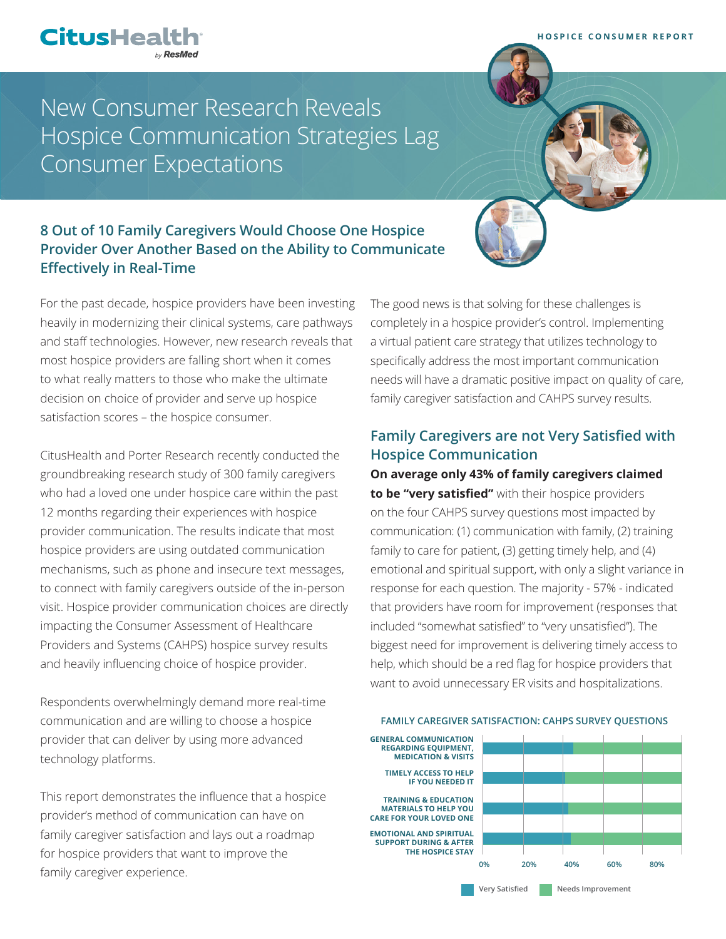

# New Consumer Research Reveals Hospice Communication Strategies Lag Consumer Expectations

## **8 Out of 10 Family Caregivers Would Choose One Hospice Provider Over Another Based on the Ability to Communicate Effectively in Real-Time**

For the past decade, hospice providers have been investing heavily in modernizing their clinical systems, care pathways and staff technologies. However, new research reveals that most hospice providers are falling short when it comes to what really matters to those who make the ultimate decision on choice of provider and serve up hospice satisfaction scores – the hospice consumer.

CitusHealth and Porter Research recently conducted the groundbreaking research study of 300 family caregivers who had a loved one under hospice care within the past 12 months regarding their experiences with hospice provider communication. The results indicate that most hospice providers are using outdated communication mechanisms, such as phone and insecure text messages, to connect with family caregivers outside of the in-person visit. Hospice provider communication choices are directly impacting the Consumer Assessment of Healthcare Providers and Systems (CAHPS) hospice survey results and heavily influencing choice of hospice provider.

Respondents overwhelmingly demand more real-time communication and are willing to choose a hospice provider that can deliver by using more advanced technology platforms.

This report demonstrates the influence that a hospice provider's method of communication can have on family caregiver satisfaction and lays out a roadmap for hospice providers that want to improve the family caregiver experience.

The good news is that solving for these challenges is completely in a hospice provider's control. Implementing a virtual patient care strategy that utilizes technology to specifically address the most important communication needs will have a dramatic positive impact on quality of care, family caregiver satisfaction and CAHPS survey results.

## **Family Caregivers are not Very Satisfied with Hospice Communication**

**On average only 43% of family caregivers claimed to be "very satisfied"** with their hospice providers on the four CAHPS survey questions most impacted by communication: (1) communication with family, (2) training family to care for patient, (3) getting timely help, and (4) emotional and spiritual support, with only a slight variance in response for each question. The majority - 57% - indicated that providers have room for improvement (responses that included "somewhat satisfied" to "very unsatisfied"). The biggest need for improvement is delivering timely access to help, which should be a red flag for hospice providers that want to avoid unnecessary ER visits and hospitalizations.

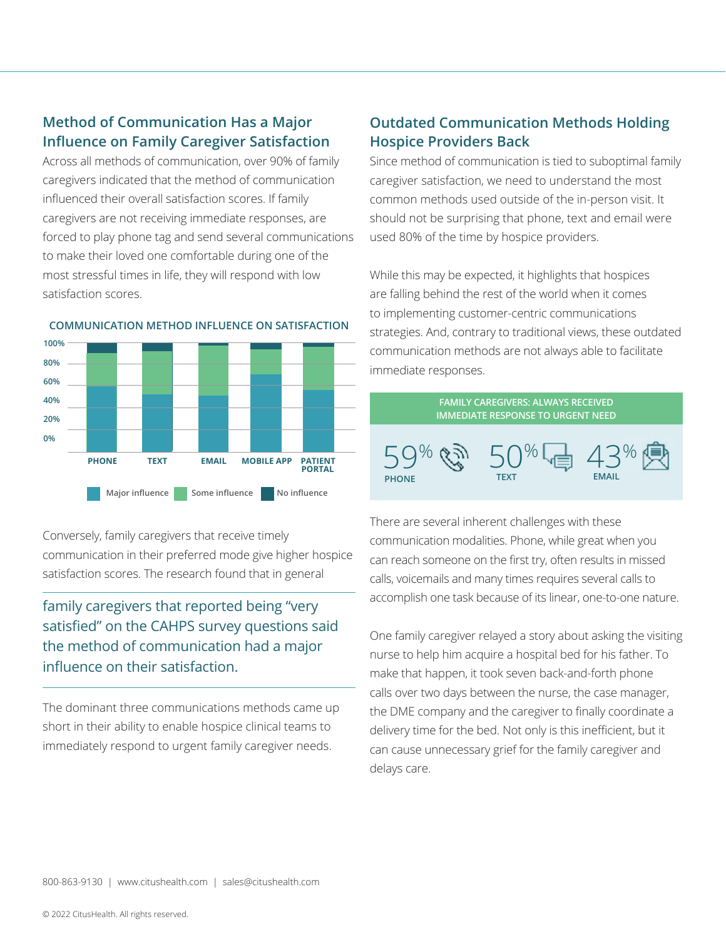## **Method of Communication Has a Major Influence on Family Caregiver Satisfaction**

Across all methods of communication, over 90% of family caregivers indicated that the method of communication influenced their overall satisfaction scores. If family caregivers are not receiving immediate responses, are forced to play phone tag and send several communications to make their loved one comfortable during one of the most stressful times in life, they will respond with low satisfaction scores.



**COMMUNICATION METHOD INFLUENCE ON SATISFACTION**

Conversely, family caregivers that receive timely communication in their preferred mode give higher hospice satisfaction scores. The research found that in general

## family caregivers that reported being "very satisfied" on the CAHPS survey questions said the method of communication had a major influence on their satisfaction.

The dominant three communications methods came up short in their ability to enable hospice clinical teams to immediately respond to urgent family caregiver needs.

## **Outdated Communication Methods Holding Hospice Providers Back**

Since method of communication is tied to suboptimal family caregiver satisfaction, we need to understand the most common methods used outside of the in-person visit. It should not be surprising that phone, text and email were used 80% of the time by hospice providers.

While this may be expected, it highlights that hospices are falling behind the rest of the world when it comes to implementing customer-centric communications strategies. And, contrary to traditional views, these outdated communication methods are not always able to facilitate immediate responses.



There are several inherent challenges with these communication modalities. Phone, while great when you can reach someone on the first try, often results in missed calls, voicemails and many times requires several calls to accomplish one task because of its linear, one-to-one nature.

One family caregiver relayed a story about asking the visiting nurse to help him acquire a hospital bed for his father. To make that happen, it took seven back-and-forth phone calls over two days between the nurse, the case manager, the DME company and the caregiver to finally coordinate a delivery time for the bed. Not only is this inefficient, but it can cause unnecessary grief for the family caregiver and delays care.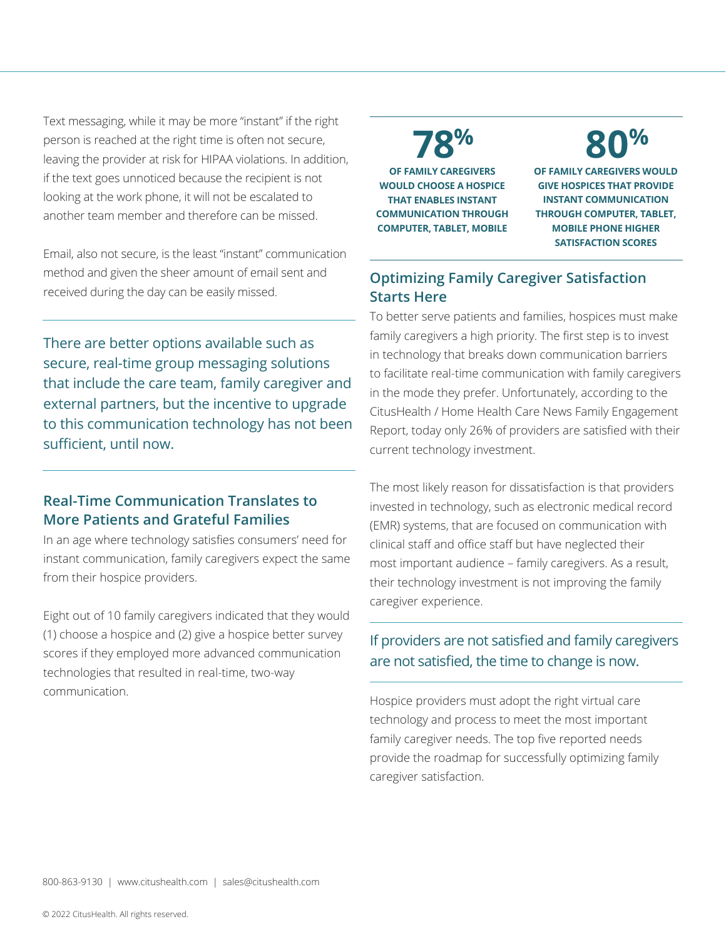Text messaging, while it may be more "instant" if the right person is reached at the right time is often not secure, leaving the provider at risk for HIPAA violations. In addition, if the text goes unnoticed because the recipient is not looking at the work phone, it will not be escalated to another team member and therefore can be missed.

Email, also not secure, is the least "instant" communication method and given the sheer amount of email sent and received during the day can be easily missed.

There are better options available such as secure, real-time group messaging solutions that include the care team, family caregiver and external partners, but the incentive to upgrade to this communication technology has not been sufficient, until now.

### **Real-Time Communication Translates to More Patients and Grateful Families**

In an age where technology satisfies consumers' need for instant communication, family caregivers expect the same from their hospice providers.

Eight out of 10 family caregivers indicated that they would (1) choose a hospice and (2) give a hospice better survey scores if they employed more advanced communication technologies that resulted in real-time, two-way communication.

**OF FAMILY CAREGIVERS** 

**WOULD CHOOSE A HOSPICE THAT ENABLES INSTANT COMMUNICATION THROUGH COMPUTER, TABLET, MOBILE**

**80% 78%**

**OF FAMILY CAREGIVERS WOULD GIVE HOSPICES THAT PROVIDE INSTANT COMMUNICATION THROUGH COMPUTER, TABLET, MOBILE PHONE HIGHER SATISFACTION SCORES**

## **Optimizing Family Caregiver Satisfaction Starts Here**

To better serve patients and families, hospices must make family caregivers a high priority. The first step is to invest in technology that breaks down communication barriers to facilitate real-time communication with family caregivers in the mode they prefer. Unfortunately, according to the CitusHealth / Home Health Care News Family Engagement Report, today only 26% of providers are satisfied with their current technology investment.

The most likely reason for dissatisfaction is that providers invested in technology, such as electronic medical record (EMR) systems, that are focused on communication with clinical staff and office staff but have neglected their most important audience – family caregivers. As a result, their technology investment is not improving the family caregiver experience.

## If providers are not satisfied and family caregivers are not satisfied, the time to change is now.

Hospice providers must adopt the right virtual care technology and process to meet the most important family caregiver needs. The top five reported needs provide the roadmap for successfully optimizing family caregiver satisfaction.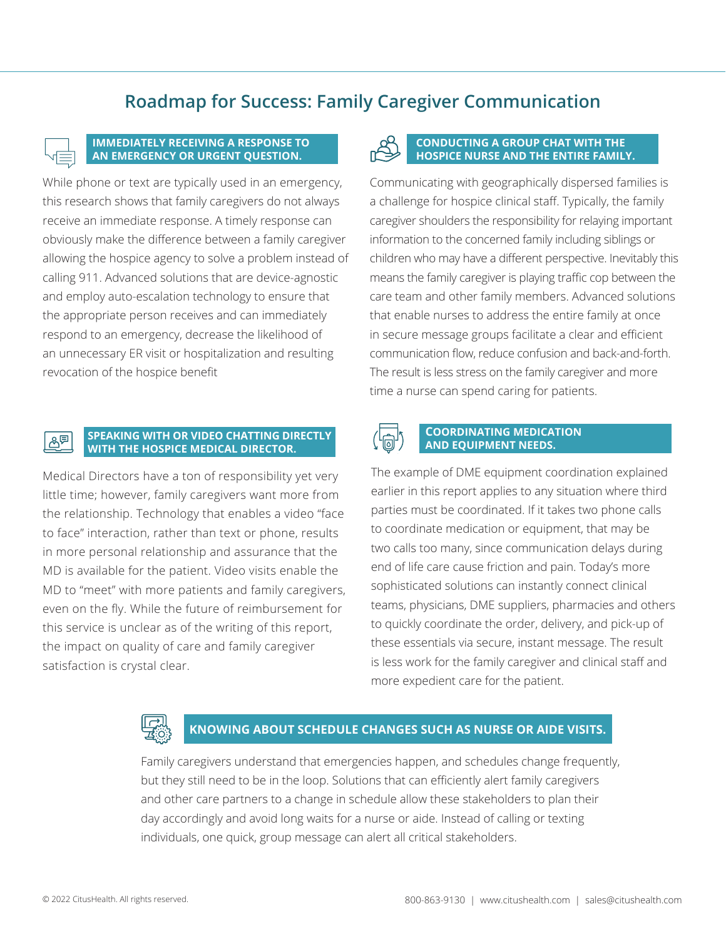## **Roadmap for Success: Family Caregiver Communication**



### **IMMEDIATELY RECEIVING A RESPONSE TO AN EMERGENCY OR URGENT QUESTION.**

While phone or text are typically used in an emergency, this research shows that family caregivers do not always receive an immediate response. A timely response can obviously make the difference between a family caregiver allowing the hospice agency to solve a problem instead of calling 911. Advanced solutions that are device-agnostic and employ auto-escalation technology to ensure that the appropriate person receives and can immediately respond to an emergency, decrease the likelihood of an unnecessary ER visit or hospitalization and resulting revocation of the hospice benefit

#### **SPEAKING WITH OR VIDEO CHATTING DIRECTLY**   $B^{\boxplus}$ **WITH THE HOSPICE MEDICAL DIRECTOR.**

Medical Directors have a ton of responsibility yet very little time; however, family caregivers want more from the relationship. Technology that enables a video "face to face" interaction, rather than text or phone, results in more personal relationship and assurance that the MD is available for the patient. Video visits enable the MD to "meet" with more patients and family caregivers, even on the fly. While the future of reimbursement for this service is unclear as of the writing of this report, the impact on quality of care and family caregiver satisfaction is crystal clear.



### **CONDUCTING A GROUP CHAT WITH THE HOSPICE NURSE AND THE ENTIRE FAMILY.**

Communicating with geographically dispersed families is a challenge for hospice clinical staff. Typically, the family caregiver shoulders the responsibility for relaying important information to the concerned family including siblings or children who may have a different perspective. Inevitably this means the family caregiver is playing traffic cop between the care team and other family members. Advanced solutions that enable nurses to address the entire family at once in secure message groups facilitate a clear and efficient communication flow, reduce confusion and back-and-forth. The result is less stress on the family caregiver and more time a nurse can spend caring for patients.



### **COORDINATING MEDICATION AND EQUIPMENT NEEDS.**

The example of DME equipment coordination explained earlier in this report applies to any situation where third parties must be coordinated. If it takes two phone calls to coordinate medication or equipment, that may be two calls too many, since communication delays during end of life care cause friction and pain. Today's more sophisticated solutions can instantly connect clinical teams, physicians, DME suppliers, pharmacies and others to quickly coordinate the order, delivery, and pick-up of these essentials via secure, instant message. The result is less work for the family caregiver and clinical staff and more expedient care for the patient.



### **KNOWING ABOUT SCHEDULE CHANGES SUCH AS NURSE OR AIDE VISITS.**

Family caregivers understand that emergencies happen, and schedules change frequently, but they still need to be in the loop. Solutions that can efficiently alert family caregivers and other care partners to a change in schedule allow these stakeholders to plan their day accordingly and avoid long waits for a nurse or aide. Instead of calling or texting individuals, one quick, group message can alert all critical stakeholders.